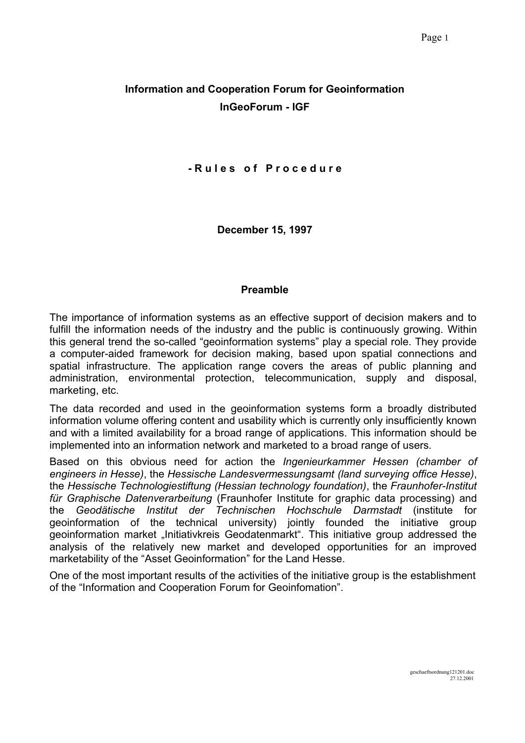# **Information and Cooperation Forum for Geoinformation InGeoForum - IGF**

#### **- R u l e s o f P r o c e d u r e**

**December 15, 1997**

#### **Preamble**

The importance of information systems as an effective support of decision makers and to fulfill the information needs of the industry and the public is continuously growing. Within this general trend the so-called "geoinformation systems" play a special role. They provide a computer-aided framework for decision making, based upon spatial connections and spatial infrastructure. The application range covers the areas of public planning and administration, environmental protection, telecommunication, supply and disposal, marketing, etc.

The data recorded and used in the geoinformation systems form a broadly distributed information volume offering content and usability which is currently only insufficiently known and with a limited availability for a broad range of applications. This information should be implemented into an information network and marketed to a broad range of users.

Based on this obvious need for action the *Ingenieurkammer Hessen (chamber of engineers in Hesse)*, the *Hessische Landesvermessungsamt (land surveying office Hesse)*, the *Hessische Technologiestiftung (Hessian technology foundation)*, the *Fraunhofer-Institut für Graphische Datenverarbeitung* (Fraunhofer Institute for graphic data processing) and the *Geodätische Institut der Technischen Hochschule Darmstadt* (institute for geoinformation of the technical university) jointly founded the initiative group geoinformation market "Initiativkreis Geodatenmarkt". This initiative group addressed the analysis of the relatively new market and developed opportunities for an improved marketability of the "Asset Geoinformation" for the Land Hesse.

One of the most important results of the activities of the initiative group is the establishment of the "Information and Cooperation Forum for Geoinfomation".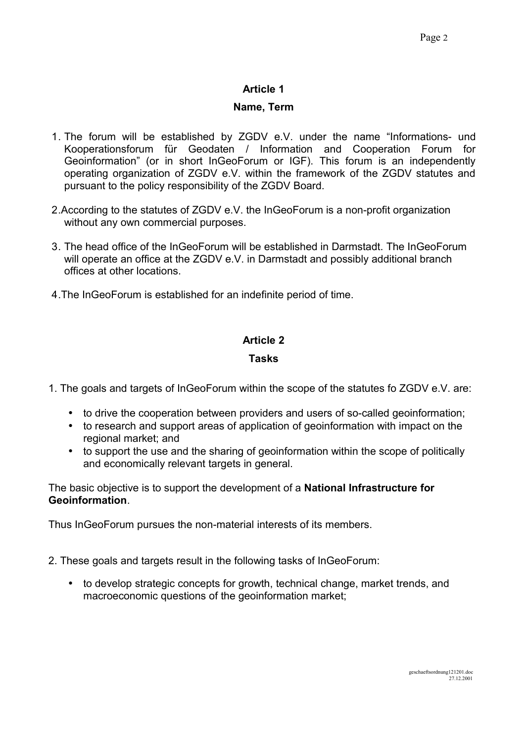## **Name, Term**

- 1. The forum will be established by ZGDV e.V. under the name "Informations- und Kooperationsforum für Geodaten / Information and Cooperation Forum for Geoinformation" (or in short InGeoForum or IGF). This forum is an independently operating organization of ZGDV e.V. within the framework of the ZGDV statutes and pursuant to the policy responsibility of the ZGDV Board.
- 2.According to the statutes of ZGDV e.V. the InGeoForum is a non-profit organization without any own commercial purposes.
- 3. The head office of the InGeoForum will be established in Darmstadt. The InGeoForum will operate an office at the ZGDV e.V. in Darmstadt and possibly additional branch offices at other locations.
- 4.The InGeoForum is established for an indefinite period of time.

## **Article 2**

## **Tasks**

- 1. The goals and targets of InGeoForum within the scope of the statutes fo ZGDV e.V. are:
	- to drive the cooperation between providers and users of so-called geoinformation;
	- to research and support areas of application of geoinformation with impact on the regional market; and
	- to support the use and the sharing of geoinformation within the scope of politically and economically relevant targets in general.

The basic objective is to support the development of a **National Infrastructure for Geoinformation**.

Thus InGeoForum pursues the non-material interests of its members.

- 2. These goals and targets result in the following tasks of InGeoForum:
	- to develop strategic concepts for growth, technical change, market trends, and macroeconomic questions of the geoinformation market;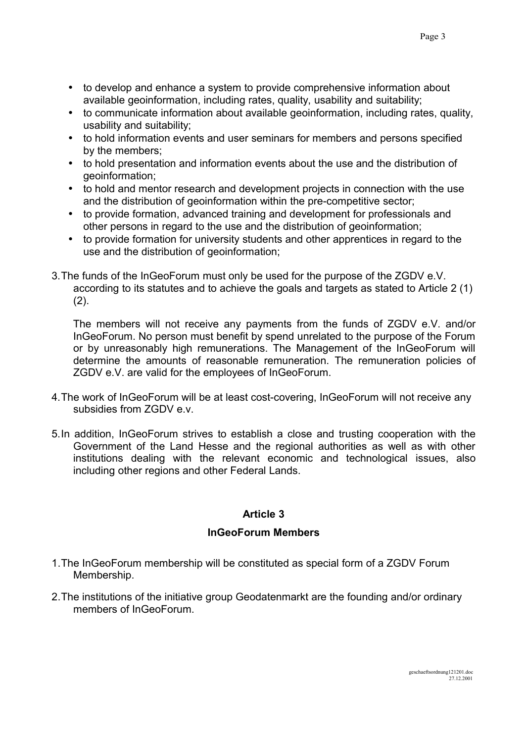- to develop and enhance a system to provide comprehensive information about available geoinformation, including rates, quality, usability and suitability;
- to communicate information about available geoinformation, including rates, quality, usability and suitability;
- to hold information events and user seminars for members and persons specified by the members;
- to hold presentation and information events about the use and the distribution of geoinformation;
- to hold and mentor research and development projects in connection with the use and the distribution of geoinformation within the pre-competitive sector;
- to provide formation, advanced training and development for professionals and other persons in regard to the use and the distribution of geoinformation;
- to provide formation for university students and other apprentices in regard to the use and the distribution of geoinformation;
- 3.The funds of the InGeoForum must only be used for the purpose of the ZGDV e.V. according to its statutes and to achieve the goals and targets as stated to Article 2 (1)  $(2)$ .

The members will not receive any payments from the funds of ZGDV e.V. and/or InGeoForum. No person must benefit by spend unrelated to the purpose of the Forum or by unreasonably high remunerations. The Management of the InGeoForum will determine the amounts of reasonable remuneration. The remuneration policies of ZGDV e.V. are valid for the employees of InGeoForum.

- 4.The work of InGeoForum will be at least cost-covering, InGeoForum will not receive any subsidies from ZGDV e.v.
- 5.In addition, InGeoForum strives to establish a close and trusting cooperation with the Government of the Land Hesse and the regional authorities as well as with other institutions dealing with the relevant economic and technological issues, also including other regions and other Federal Lands.

## **Article 3**

## **InGeoForum Members**

- 1.The InGeoForum membership will be constituted as special form of a ZGDV Forum Membership.
- 2.The institutions of the initiative group Geodatenmarkt are the founding and/or ordinary members of InGeoForum.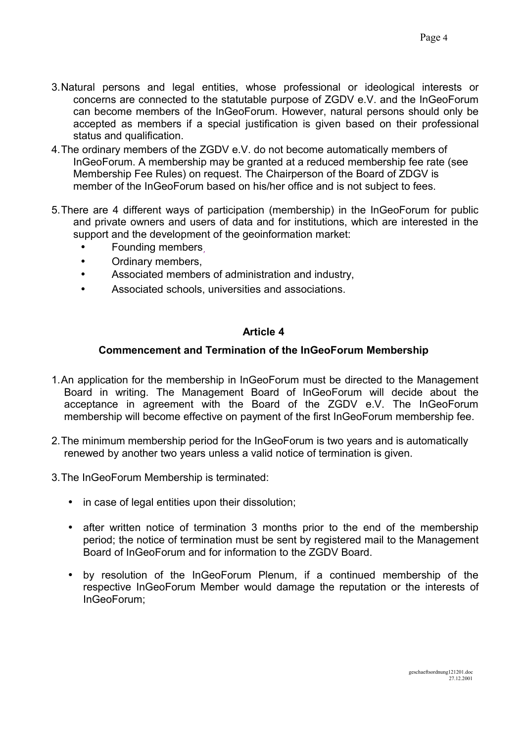- 3.Natural persons and legal entities, whose professional or ideological interests or concerns are connected to the statutable purpose of ZGDV e.V. and the InGeoForum can become members of the InGeoForum. However, natural persons should only be accepted as members if a special justification is given based on their professional status and qualification.
- 4.The ordinary members of the ZGDV e.V. do not become automatically members of InGeoForum. A membership may be granted at a reduced membership fee rate (see Membership Fee Rules) on request. The Chairperson of the Board of ZDGV is member of the InGeoForum based on his/her office and is not subject to fees.
- 5.There are 4 different ways of participation (membership) in the InGeoForum for public and private owners and users of data and for institutions, which are interested in the support and the development of the geoinformation market:
	- Founding members,
	- Ordinary members,
	- Associated members of administration and industry,
	- Associated schools, universities and associations.

### **Commencement and Termination of the InGeoForum Membership**

- 1.An application for the membership in InGeoForum must be directed to the Management Board in writing. The Management Board of InGeoForum will decide about the acceptance in agreement with the Board of the ZGDV e.V. The InGeoForum membership will become effective on payment of the first InGeoForum membership fee.
- 2.The minimum membership period for the InGeoForum is two years and is automatically renewed by another two years unless a valid notice of termination is given.
- 3.The InGeoForum Membership is terminated:
	- in case of legal entities upon their dissolution;
	- after written notice of termination 3 months prior to the end of the membership period; the notice of termination must be sent by registered mail to the Management Board of InGeoForum and for information to the ZGDV Board.
	- by resolution of the InGeoForum Plenum, if a continued membership of the respective InGeoForum Member would damage the reputation or the interests of InGeoForum;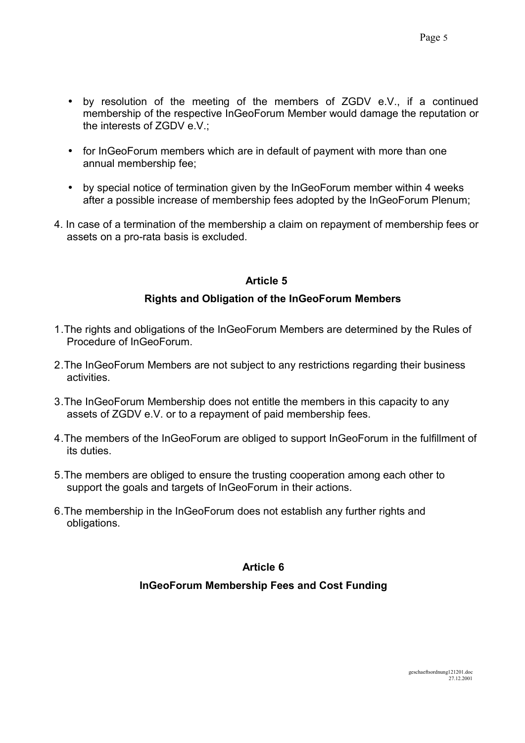- by resolution of the meeting of the members of ZGDV e.V., if a continued membership of the respective InGeoForum Member would damage the reputation or the interests of ZGDV e.V.;
- for InGeoForum members which are in default of payment with more than one annual membership fee;
- by special notice of termination given by the InGeoForum member within 4 weeks after a possible increase of membership fees adopted by the InGeoForum Plenum;
- 4. In case of a termination of the membership a claim on repayment of membership fees or assets on a pro-rata basis is excluded.

#### **Rights and Obligation of the InGeoForum Members**

- 1.The rights and obligations of the InGeoForum Members are determined by the Rules of Procedure of InGeoForum.
- 2.The InGeoForum Members are not subject to any restrictions regarding their business activities.
- 3.The InGeoForum Membership does not entitle the members in this capacity to any assets of ZGDV e.V. or to a repayment of paid membership fees.
- 4.The members of the InGeoForum are obliged to support InGeoForum in the fulfillment of its duties.
- 5.The members are obliged to ensure the trusting cooperation among each other to support the goals and targets of InGeoForum in their actions.
- 6.The membership in the InGeoForum does not establish any further rights and obligations.

#### **Article 6**

### **InGeoForum Membership Fees and Cost Funding**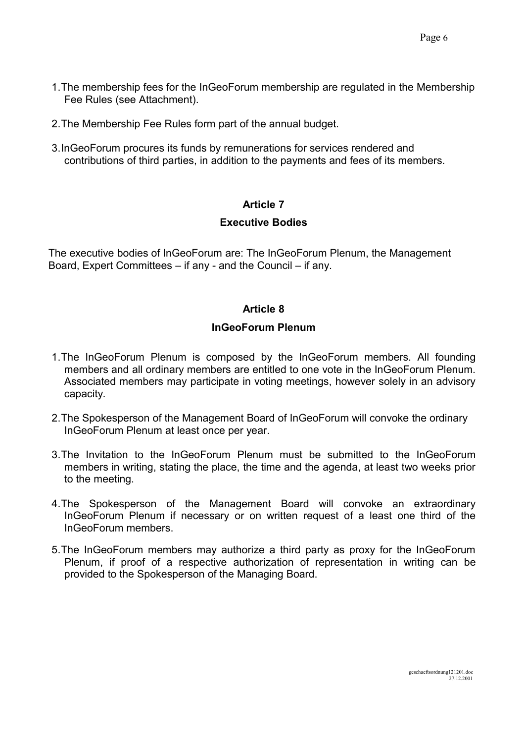- 1.The membership fees for the InGeoForum membership are regulated in the Membership Fee Rules (see Attachment).
- 2.The Membership Fee Rules form part of the annual budget.
- 3.InGeoForum procures its funds by remunerations for services rendered and contributions of third parties, in addition to the payments and fees of its members.

#### **Executive Bodies**

The executive bodies of InGeoForum are: The InGeoForum Plenum, the Management Board, Expert Committees – if any - and the Council – if any.

#### **Article 8**

#### **InGeoForum Plenum**

- 1.The InGeoForum Plenum is composed by the InGeoForum members. All founding members and all ordinary members are entitled to one vote in the InGeoForum Plenum. Associated members may participate in voting meetings, however solely in an advisory capacity.
- 2.The Spokesperson of the Management Board of InGeoForum will convoke the ordinary InGeoForum Plenum at least once per year.
- 3.The Invitation to the InGeoForum Plenum must be submitted to the InGeoForum members in writing, stating the place, the time and the agenda, at least two weeks prior to the meeting.
- 4.The Spokesperson of the Management Board will convoke an extraordinary InGeoForum Plenum if necessary or on written request of a least one third of the InGeoForum members.
- 5.The InGeoForum members may authorize a third party as proxy for the InGeoForum Plenum, if proof of a respective authorization of representation in writing can be provided to the Spokesperson of the Managing Board.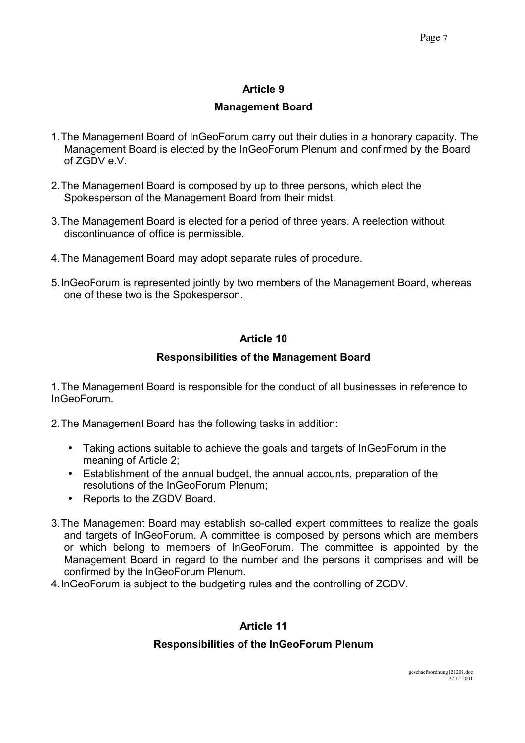## **Management Board**

- 1.The Management Board of InGeoForum carry out their duties in a honorary capacity. The Management Board is elected by the InGeoForum Plenum and confirmed by the Board of ZGDV e.V.
- 2.The Management Board is composed by up to three persons, which elect the Spokesperson of the Management Board from their midst.
- 3.The Management Board is elected for a period of three years. A reelection without discontinuance of office is permissible.
- 4.The Management Board may adopt separate rules of procedure.
- 5.InGeoForum is represented jointly by two members of the Management Board, whereas one of these two is the Spokesperson.

## **Article 10**

## **Responsibilities of the Management Board**

1.The Management Board is responsible for the conduct of all businesses in reference to InGeoForum.

2.The Management Board has the following tasks in addition:

- Taking actions suitable to achieve the goals and targets of InGeoForum in the meaning of Article 2;
- Establishment of the annual budget, the annual accounts, preparation of the resolutions of the InGeoForum Plenum;
- Reports to the ZGDV Board.
- 3.The Management Board may establish so-called expert committees to realize the goals and targets of InGeoForum. A committee is composed by persons which are members or which belong to members of InGeoForum. The committee is appointed by the Management Board in regard to the number and the persons it comprises and will be confirmed by the InGeoForum Plenum.
- 4.InGeoForum is subject to the budgeting rules and the controlling of ZGDV.

## **Article 11**

### **Responsibilities of the InGeoForum Plenum**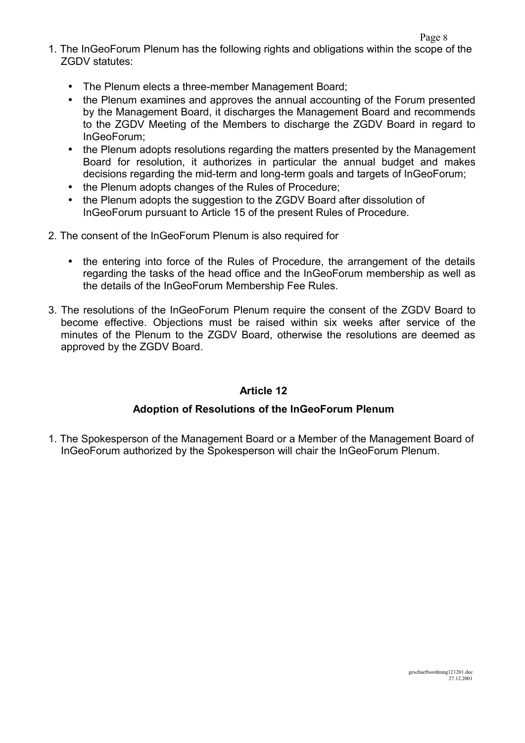- 1. The InGeoForum Plenum has the following rights and obligations within the scope of the ZGDV statutes:
	- The Plenum elects a three-member Management Board;
	- the Plenum examines and approves the annual accounting of the Forum presented by the Management Board, it discharges the Management Board and recommends to the ZGDV Meeting of the Members to discharge the ZGDV Board in regard to InGeoForum;
	- the Plenum adopts resolutions regarding the matters presented by the Management Board for resolution, it authorizes in particular the annual budget and makes decisions regarding the mid-term and long-term goals and targets of InGeoForum;
	- the Plenum adopts changes of the Rules of Procedure;
	- the Plenum adopts the suggestion to the ZGDV Board after dissolution of InGeoForum pursuant to Article 15 of the present Rules of Procedure.
- 2. The consent of the InGeoForum Plenum is also required for
	- the entering into force of the Rules of Procedure, the arrangement of the details regarding the tasks of the head office and the InGeoForum membership as well as the details of the InGeoForum Membership Fee Rules.
- 3. The resolutions of the InGeoForum Plenum require the consent of the ZGDV Board to become effective. Objections must be raised within six weeks after service of the minutes of the Plenum to the ZGDV Board, otherwise the resolutions are deemed as approved by the ZGDV Board.

### **Adoption of Resolutions of the InGeoForum Plenum**

1. The Spokesperson of the Management Board or a Member of the Management Board of InGeoForum authorized by the Spokesperson will chair the InGeoForum Plenum.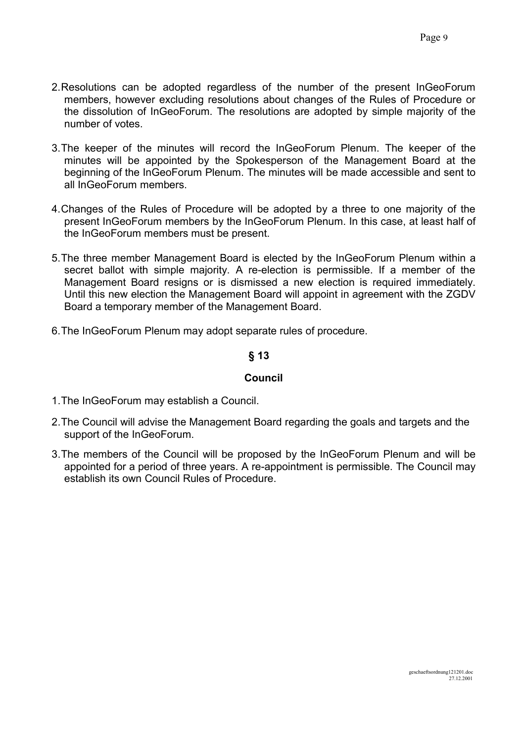- 2.Resolutions can be adopted regardless of the number of the present InGeoForum members, however excluding resolutions about changes of the Rules of Procedure or the dissolution of InGeoForum. The resolutions are adopted by simple majority of the number of votes.
- 3.The keeper of the minutes will record the InGeoForum Plenum. The keeper of the minutes will be appointed by the Spokesperson of the Management Board at the beginning of the InGeoForum Plenum. The minutes will be made accessible and sent to all InGeoForum members.
- 4.Changes of the Rules of Procedure will be adopted by a three to one majority of the present InGeoForum members by the InGeoForum Plenum. In this case, at least half of the InGeoForum members must be present.
- 5.The three member Management Board is elected by the InGeoForum Plenum within a secret ballot with simple majority. A re-election is permissible. If a member of the Management Board resigns or is dismissed a new election is required immediately. Until this new election the Management Board will appoint in agreement with the ZGDV Board a temporary member of the Management Board.
- 6.The InGeoForum Plenum may adopt separate rules of procedure.

## **§ 13**

### **Council**

- 1.The InGeoForum may establish a Council.
- 2.The Council will advise the Management Board regarding the goals and targets and the support of the InGeoForum.
- 3.The members of the Council will be proposed by the InGeoForum Plenum and will be appointed for a period of three years. A re-appointment is permissible. The Council may establish its own Council Rules of Procedure.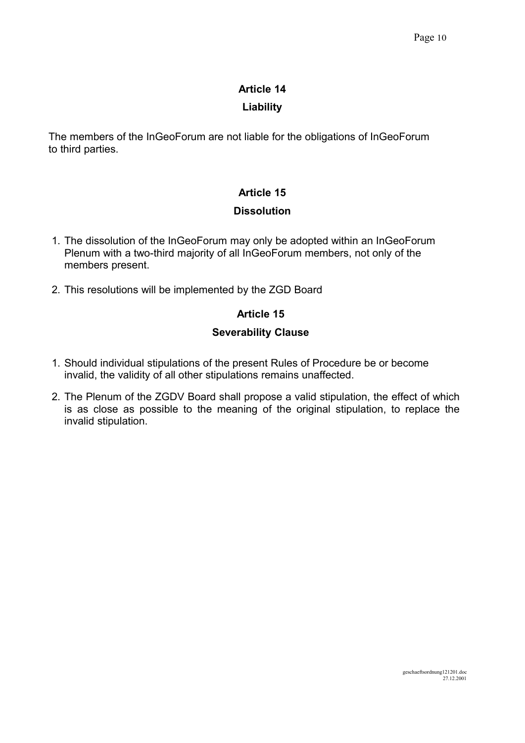## **Liability**

The members of the InGeoForum are not liable for the obligations of InGeoForum to third parties.

## **Article 15**

## **Dissolution**

- 1. The dissolution of the InGeoForum may only be adopted within an InGeoForum Plenum with a two-third majority of all InGeoForum members, not only of the members present.
- 2. This resolutions will be implemented by the ZGD Board

## **Article 15**

## **Severability Clause**

- 1. Should individual stipulations of the present Rules of Procedure be or become invalid, the validity of all other stipulations remains unaffected.
- 2. The Plenum of the ZGDV Board shall propose a valid stipulation, the effect of which is as close as possible to the meaning of the original stipulation, to replace the invalid stipulation.